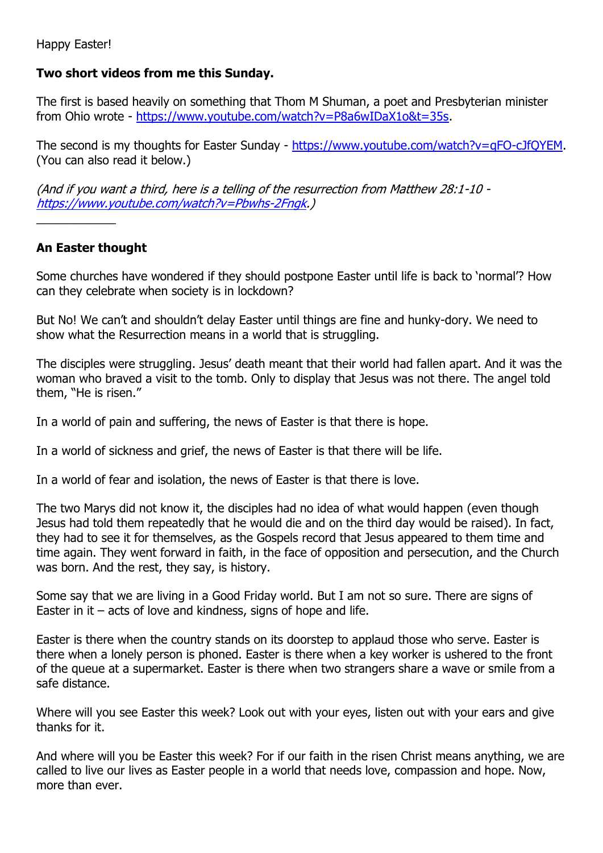Happy Easter!

## **Two short videos from me this Sunday.**

The first is based heavily on something that Thom M Shuman, a poet and Presbyterian minister from Ohio wrote - [https://www.youtube.com/watch?v=P8a6wIDaX1o&t=35s.](https://www.youtube.com/watch?v=P8a6wIDaX1o&t=35s)

The second is my thoughts for Easter Sunday - [https://www.youtube.com/watch?v=qFO-cJfQYEM.](https://www.youtube.com/watch?v=qFO-cJfQYEM) (You can also read it below.)

(And if you want a third, here is a telling of the resurrection from Matthew 28:1-10 [https://www.youtube.com/watch?v=Pbwhs-2Fngk.](https://www.youtube.com/watch?v=Pbwhs-2Fngk))

## **An Easter thought**

\_\_\_\_\_\_\_\_\_\_\_\_

Some churches have wondered if they should postpone Easter until life is back to 'normal'? How can they celebrate when society is in lockdown?

But No! We can't and shouldn't delay Easter until things are fine and hunky-dory. We need to show what the Resurrection means in a world that is struggling.

The disciples were struggling. Jesus' death meant that their world had fallen apart. And it was the woman who braved a visit to the tomb. Only to display that Jesus was not there. The angel told them, "He is risen."

In a world of pain and suffering, the news of Easter is that there is hope.

In a world of sickness and grief, the news of Easter is that there will be life.

In a world of fear and isolation, the news of Easter is that there is love.

The two Marys did not know it, the disciples had no idea of what would happen (even though Jesus had told them repeatedly that he would die and on the third day would be raised). In fact, they had to see it for themselves, as the Gospels record that Jesus appeared to them time and time again. They went forward in faith, in the face of opposition and persecution, and the Church was born. And the rest, they say, is history.

Some say that we are living in a Good Friday world. But I am not so sure. There are signs of Easter in it  $-$  acts of love and kindness, signs of hope and life.

Easter is there when the country stands on its doorstep to applaud those who serve. Easter is there when a lonely person is phoned. Easter is there when a key worker is ushered to the front of the queue at a supermarket. Easter is there when two strangers share a wave or smile from a safe distance.

Where will you see Easter this week? Look out with your eyes, listen out with your ears and give thanks for it.

And where will you be Easter this week? For if our faith in the risen Christ means anything, we are called to live our lives as Easter people in a world that needs love, compassion and hope. Now, more than ever.